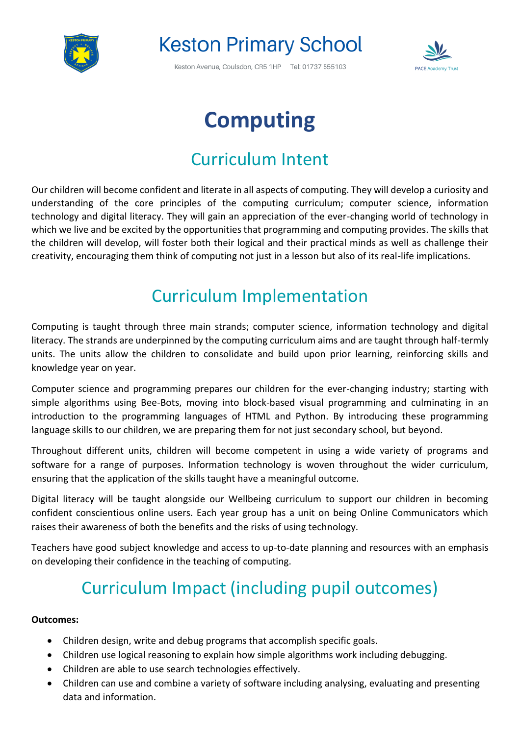

# **Keston Primary School**

Keston Avenue, Coulsdon, CR5 1HP Tel: 01737 555103



# **Computing**

### Curriculum Intent

Our children will become confident and literate in all aspects of computing. They will develop a curiosity and understanding of the core principles of the computing curriculum; computer science, information technology and digital literacy. They will gain an appreciation of the ever-changing world of technology in which we live and be excited by the opportunities that programming and computing provides. The skills that the children will develop, will foster both their logical and their practical minds as well as challenge their creativity, encouraging them think of computing not just in a lesson but also of its real-life implications.

#### Curriculum Implementation

Computing is taught through three main strands; computer science, information technology and digital literacy. The strands are underpinned by the computing curriculum aims and are taught through half-termly units. The units allow the children to consolidate and build upon prior learning, reinforcing skills and knowledge year on year.

Computer science and programming prepares our children for the ever-changing industry; starting with simple algorithms using Bee-Bots, moving into block-based visual programming and culminating in an introduction to the programming languages of HTML and Python. By introducing these programming language skills to our children, we are preparing them for not just secondary school, but beyond.

Throughout different units, children will become competent in using a wide variety of programs and software for a range of purposes. Information technology is woven throughout the wider curriculum, ensuring that the application of the skills taught have a meaningful outcome.

Digital literacy will be taught alongside our Wellbeing curriculum to support our children in becoming confident conscientious online users. Each year group has a unit on being Online Communicators which raises their awareness of both the benefits and the risks of using technology.

Teachers have good subject knowledge and access to up-to-date planning and resources with an emphasis on developing their confidence in the teaching of computing.

## Curriculum Impact (including pupil outcomes)

#### **Outcomes:**

- Children design, write and debug programs that accomplish specific goals.
- Children use logical reasoning to explain how simple algorithms work including debugging.
- Children are able to use search technologies effectively.
- Children can use and combine a variety of software including analysing, evaluating and presenting data and information.